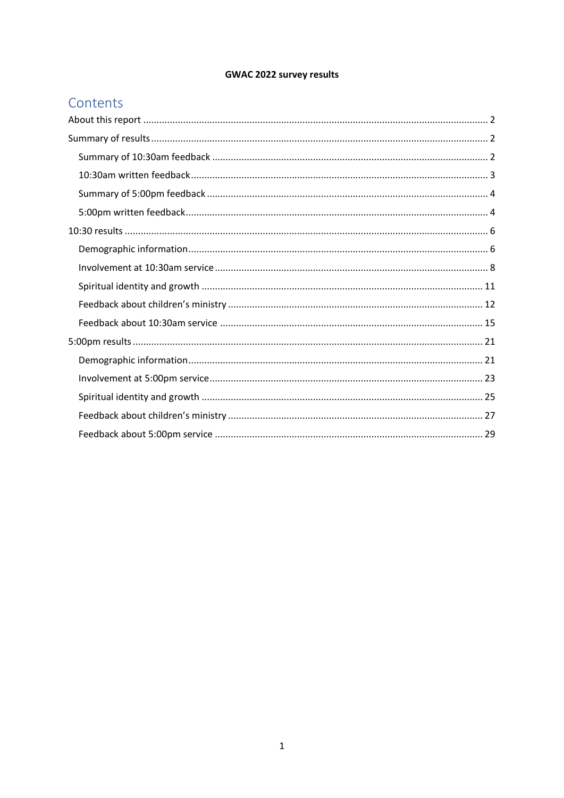## **GWAC 2022 survey results**

# Contents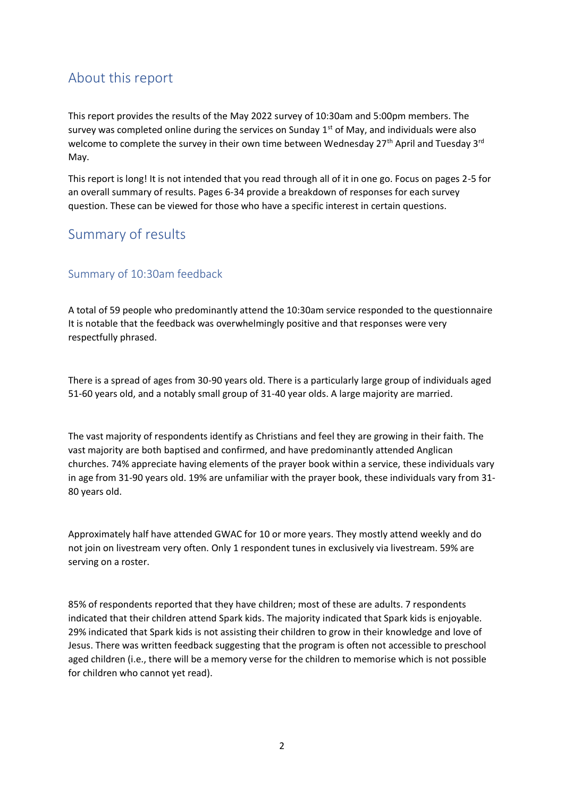# <span id="page-1-0"></span>About this report

This report provides the results of the May 2022 survey of 10:30am and 5:00pm members. The survey was completed online during the services on Sunday  $1<sup>st</sup>$  of May, and individuals were also welcome to complete the survey in their own time between Wednesday  $27<sup>th</sup>$  April and Tuesday 3<sup>rd</sup> May.

This report is long! It is not intended that you read through all of it in one go. Focus on pages 2-5 for an overall summary of results. Pages 6-34 provide a breakdown of responses for each survey question. These can be viewed for those who have a specific interest in certain questions.

## <span id="page-1-1"></span>Summary of results

### <span id="page-1-2"></span>Summary of 10:30am feedback

A total of 59 people who predominantly attend the 10:30am service responded to the questionnaire It is notable that the feedback was overwhelmingly positive and that responses were very respectfully phrased.

There is a spread of ages from 30-90 years old. There is a particularly large group of individuals aged 51-60 years old, and a notably small group of 31-40 year olds. A large majority are married.

The vast majority of respondents identify as Christians and feel they are growing in their faith. The vast majority are both baptised and confirmed, and have predominantly attended Anglican churches. 74% appreciate having elements of the prayer book within a service, these individuals vary in age from 31-90 years old. 19% are unfamiliar with the prayer book, these individuals vary from 31- 80 years old.

Approximately half have attended GWAC for 10 or more years. They mostly attend weekly and do not join on livestream very often. Only 1 respondent tunes in exclusively via livestream. 59% are serving on a roster.

85% of respondents reported that they have children; most of these are adults. 7 respondents indicated that their children attend Spark kids. The majority indicated that Spark kids is enjoyable. 29% indicated that Spark kids is not assisting their children to grow in their knowledge and love of Jesus. There was written feedback suggesting that the program is often not accessible to preschool aged children (i.e., there will be a memory verse for the children to memorise which is not possible for children who cannot yet read).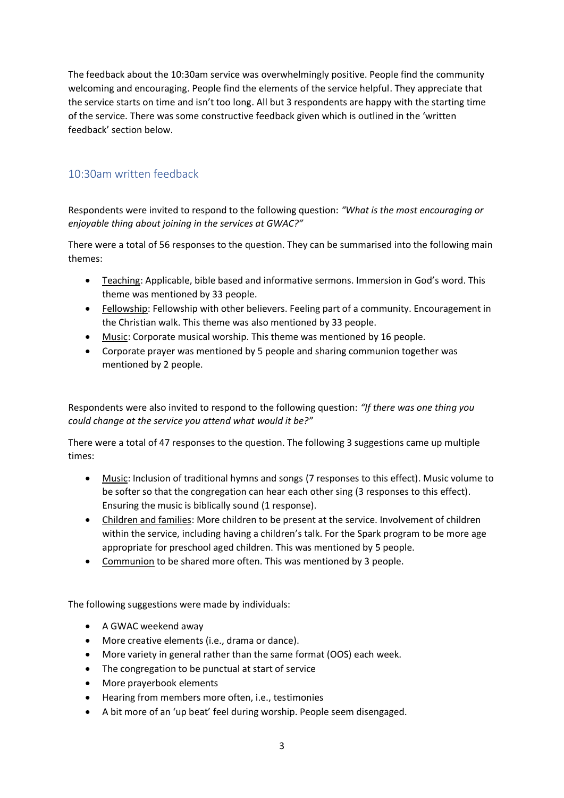The feedback about the 10:30am service was overwhelmingly positive. People find the community welcoming and encouraging. People find the elements of the service helpful. They appreciate that the service starts on time and isn't too long. All but 3 respondents are happy with the starting time of the service. There was some constructive feedback given which is outlined in the 'written feedback' section below.

## <span id="page-2-0"></span>10:30am written feedback

Respondents were invited to respond to the following question: *"What is the most encouraging or enjoyable thing about joining in the services at GWAC?"*

There were a total of 56 responses to the question. They can be summarised into the following main themes:

- Teaching: Applicable, bible based and informative sermons. Immersion in God's word. This theme was mentioned by 33 people.
- Fellowship: Fellowship with other believers. Feeling part of a community. Encouragement in the Christian walk. This theme was also mentioned by 33 people.
- Music: Corporate musical worship. This theme was mentioned by 16 people.
- Corporate prayer was mentioned by 5 people and sharing communion together was mentioned by 2 people.

Respondents were also invited to respond to the following question: *"If there was one thing you could change at the service you attend what would it be?"*

There were a total of 47 responses to the question. The following 3 suggestions came up multiple times:

- Music: Inclusion of traditional hymns and songs (7 responses to this effect). Music volume to be softer so that the congregation can hear each other sing (3 responses to this effect). Ensuring the music is biblically sound (1 response).
- Children and families: More children to be present at the service. Involvement of children within the service, including having a children's talk. For the Spark program to be more age appropriate for preschool aged children. This was mentioned by 5 people.
- Communion to be shared more often. This was mentioned by 3 people.

The following suggestions were made by individuals:

- A GWAC weekend away
- More creative elements (i.e., drama or dance).
- More variety in general rather than the same format (OOS) each week.
- The congregation to be punctual at start of service
- More prayerbook elements
- Hearing from members more often, i.e., testimonies
- A bit more of an 'up beat' feel during worship. People seem disengaged.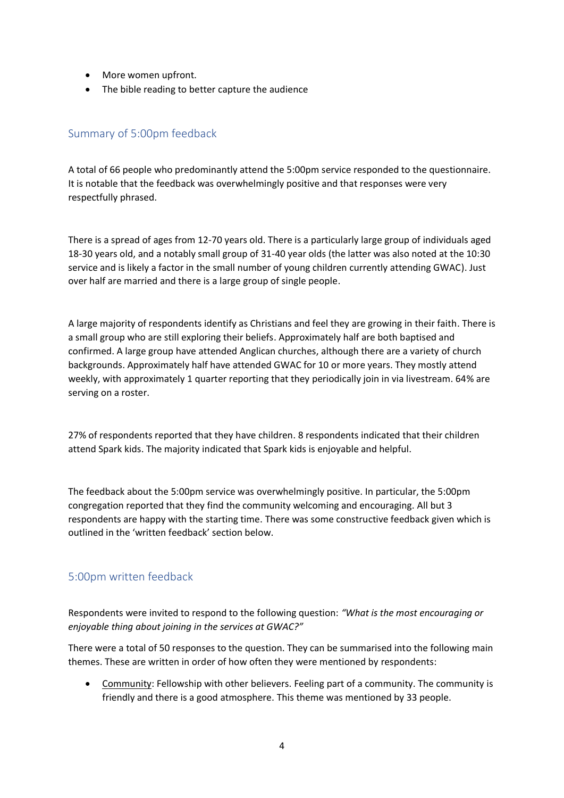- More women upfront.
- The bible reading to better capture the audience

## <span id="page-3-0"></span>Summary of 5:00pm feedback

A total of 66 people who predominantly attend the 5:00pm service responded to the questionnaire. It is notable that the feedback was overwhelmingly positive and that responses were very respectfully phrased.

There is a spread of ages from 12-70 years old. There is a particularly large group of individuals aged 18-30 years old, and a notably small group of 31-40 year olds (the latter was also noted at the 10:30 service and is likely a factor in the small number of young children currently attending GWAC). Just over half are married and there is a large group of single people.

A large majority of respondents identify as Christians and feel they are growing in their faith. There is a small group who are still exploring their beliefs. Approximately half are both baptised and confirmed. A large group have attended Anglican churches, although there are a variety of church backgrounds. Approximately half have attended GWAC for 10 or more years. They mostly attend weekly, with approximately 1 quarter reporting that they periodically join in via livestream. 64% are serving on a roster.

27% of respondents reported that they have children. 8 respondents indicated that their children attend Spark kids. The majority indicated that Spark kids is enjoyable and helpful.

The feedback about the 5:00pm service was overwhelmingly positive. In particular, the 5:00pm congregation reported that they find the community welcoming and encouraging. All but 3 respondents are happy with the starting time. There was some constructive feedback given which is outlined in the 'written feedback' section below.

## <span id="page-3-1"></span>5:00pm written feedback

Respondents were invited to respond to the following question: *"What is the most encouraging or enjoyable thing about joining in the services at GWAC?"*

There were a total of 50 responses to the question. They can be summarised into the following main themes. These are written in order of how often they were mentioned by respondents:

• Community: Fellowship with other believers. Feeling part of a community. The community is friendly and there is a good atmosphere. This theme was mentioned by 33 people.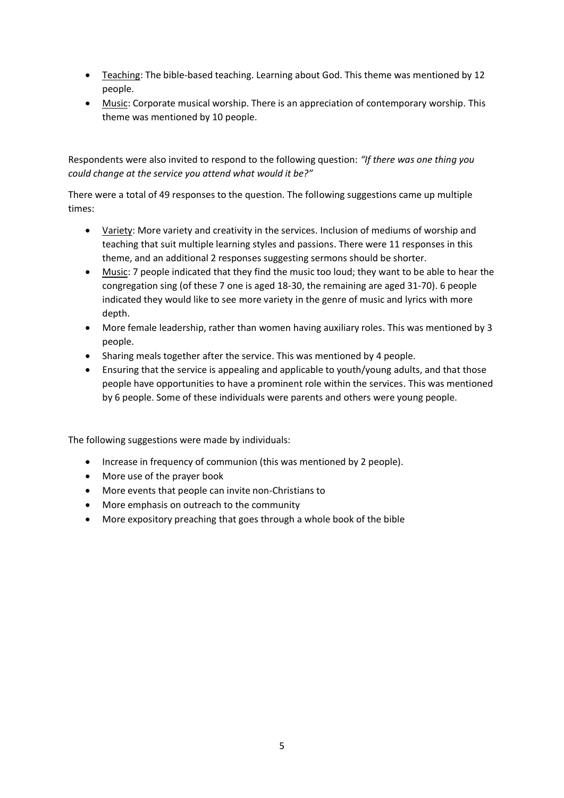- Teaching: The bible-based teaching. Learning about God. This theme was mentioned by 12 people.
- Music: Corporate musical worship. There is an appreciation of contemporary worship. This theme was mentioned by 10 people.

Respondents were also invited to respond to the following question: *"If there was one thing you could change at the service you attend what would it be?"*

There were a total of 49 responses to the question. The following suggestions came up multiple times:

- Variety: More variety and creativity in the services. Inclusion of mediums of worship and teaching that suit multiple learning styles and passions. There were 11 responses in this theme, and an additional 2 responses suggesting sermons should be shorter.
- Music: 7 people indicated that they find the music too loud; they want to be able to hear the congregation sing (of these 7 one is aged 18-30, the remaining are aged 31-70). 6 people indicated they would like to see more variety in the genre of music and lyrics with more depth.
- More female leadership, rather than women having auxiliary roles. This was mentioned by 3 people.
- Sharing meals together after the service. This was mentioned by 4 people.
- Ensuring that the service is appealing and applicable to youth/young adults, and that those people have opportunities to have a prominent role within the services. This was mentioned by 6 people. Some of these individuals were parents and others were young people.

The following suggestions were made by individuals:

- Increase in frequency of communion (this was mentioned by 2 people).
- More use of the prayer book
- More events that people can invite non-Christians to
- More emphasis on outreach to the community
- More expository preaching that goes through a whole book of the bible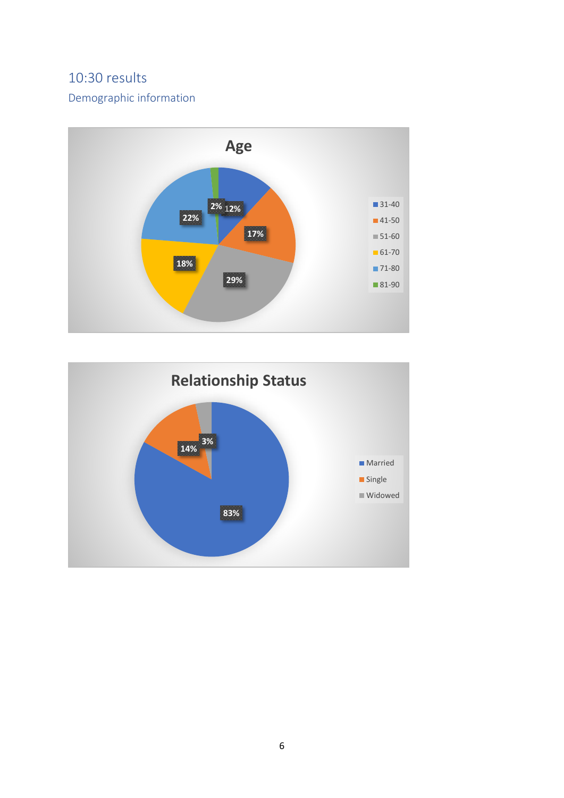# <span id="page-5-0"></span>10:30 results

## <span id="page-5-1"></span>Demographic information



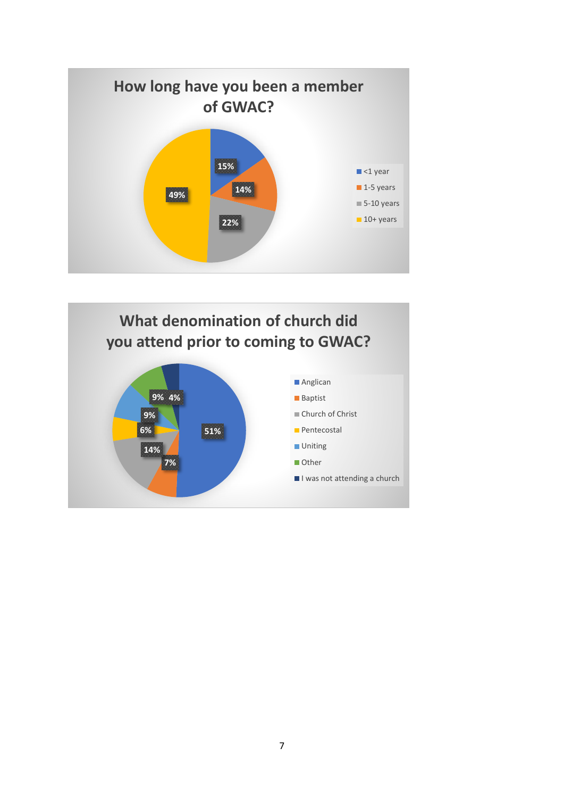

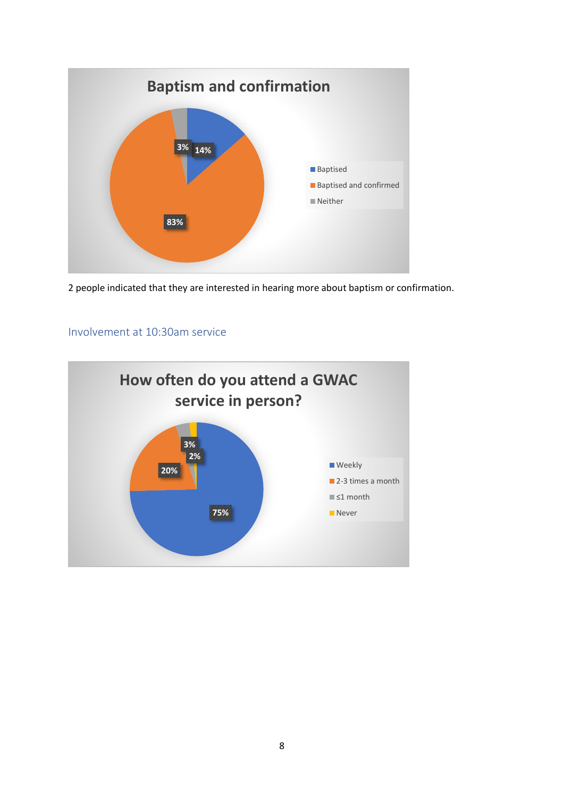

2 people indicated that they are interested in hearing more about baptism or confirmation.

#### <span id="page-7-0"></span>Involvement at 10:30am service

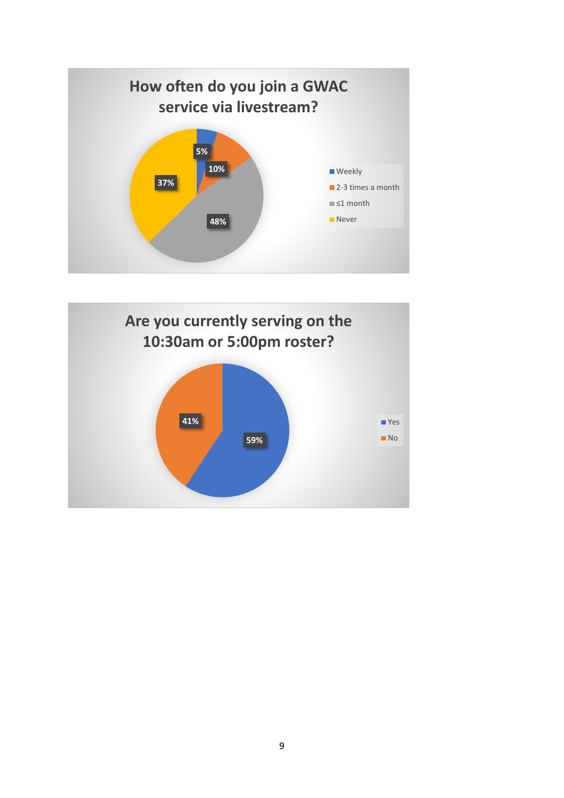

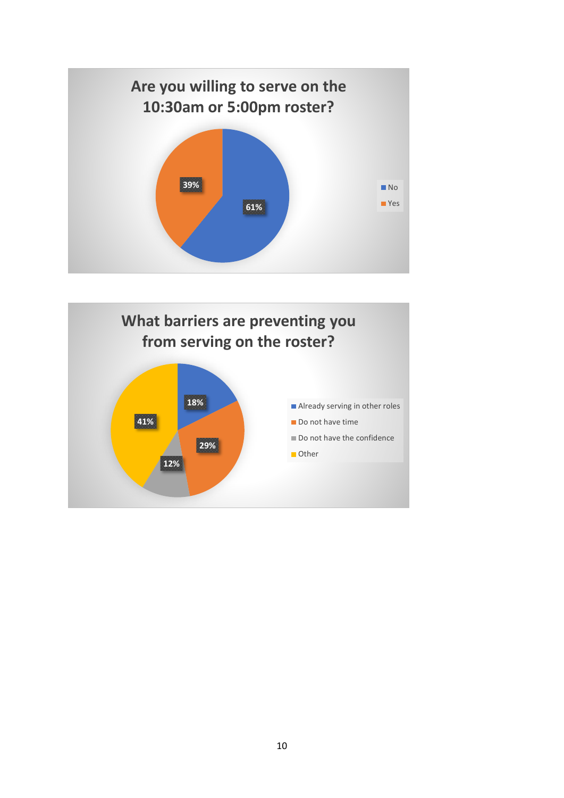

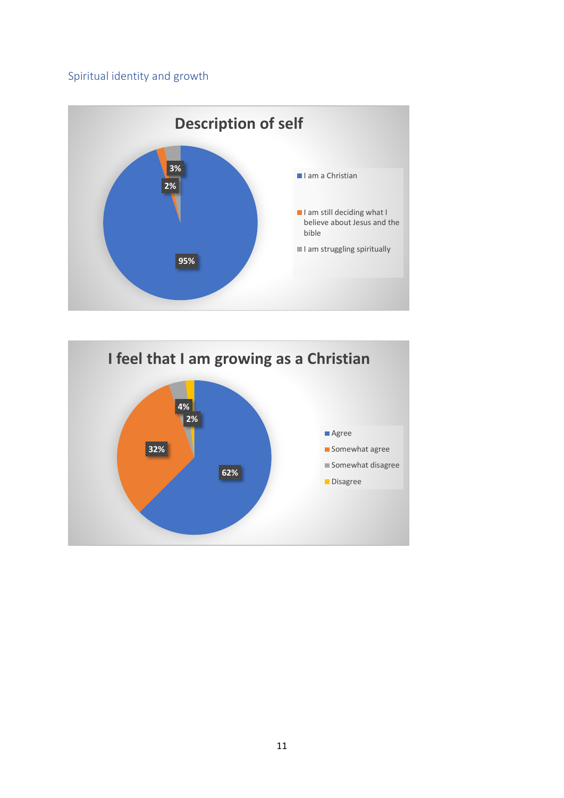## <span id="page-10-0"></span>Spiritual identity and growth



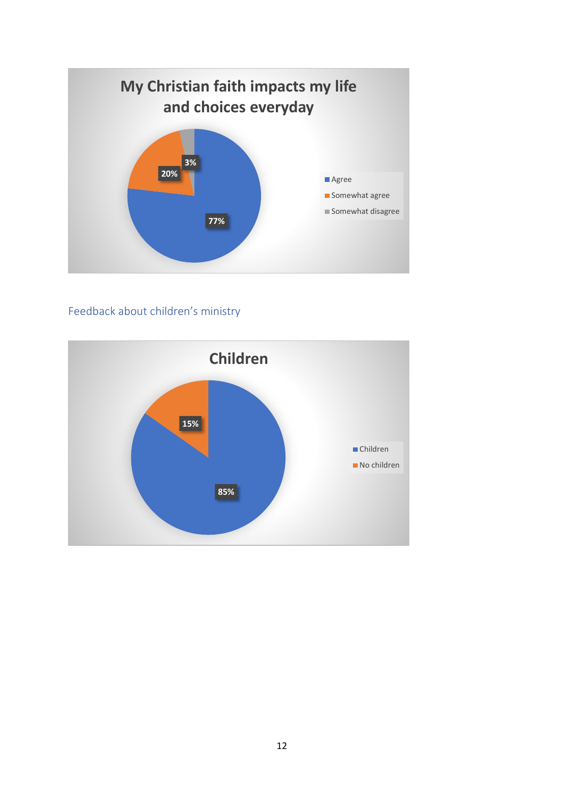

# <span id="page-11-0"></span>Feedback about children's ministry

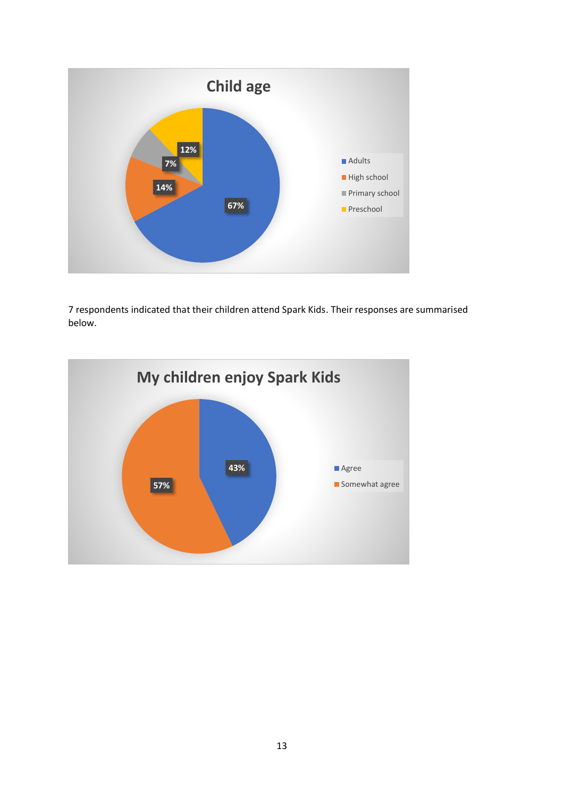

7 respondents indicated that their children attend Spark Kids. Their responses are summarised below.

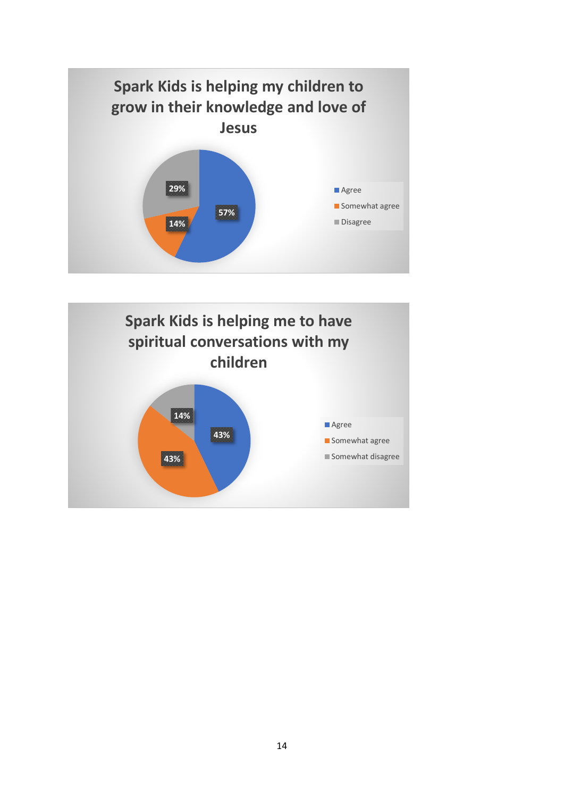

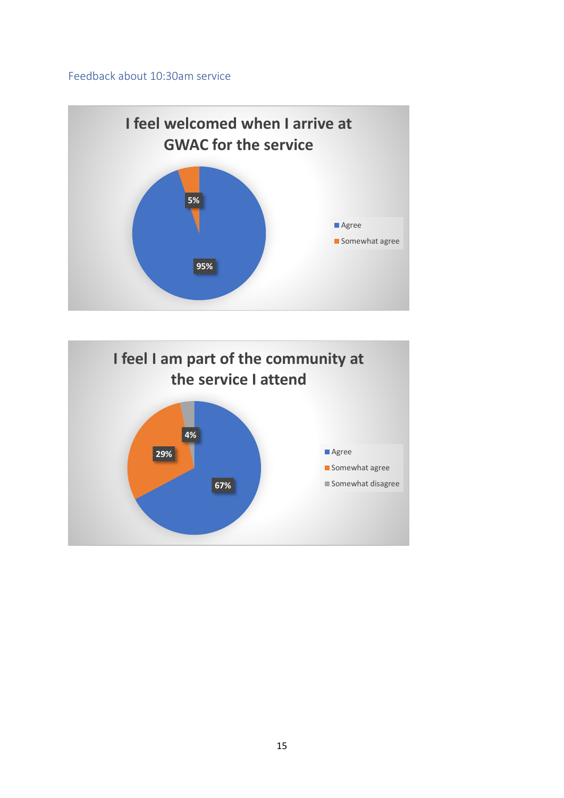#### <span id="page-14-0"></span>Feedback about 10:30am service



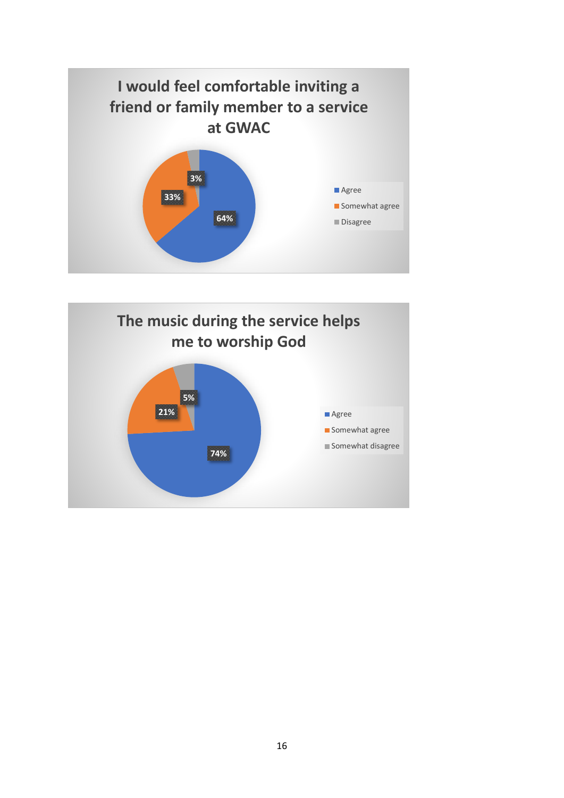

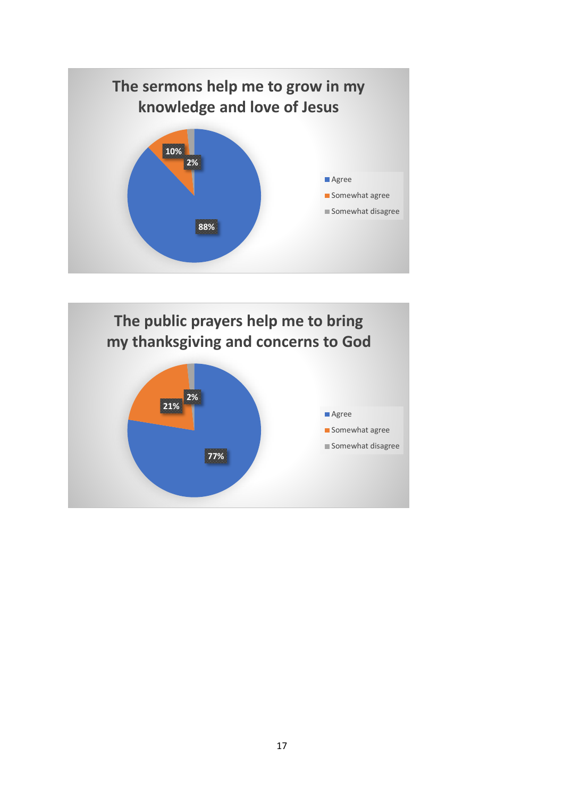

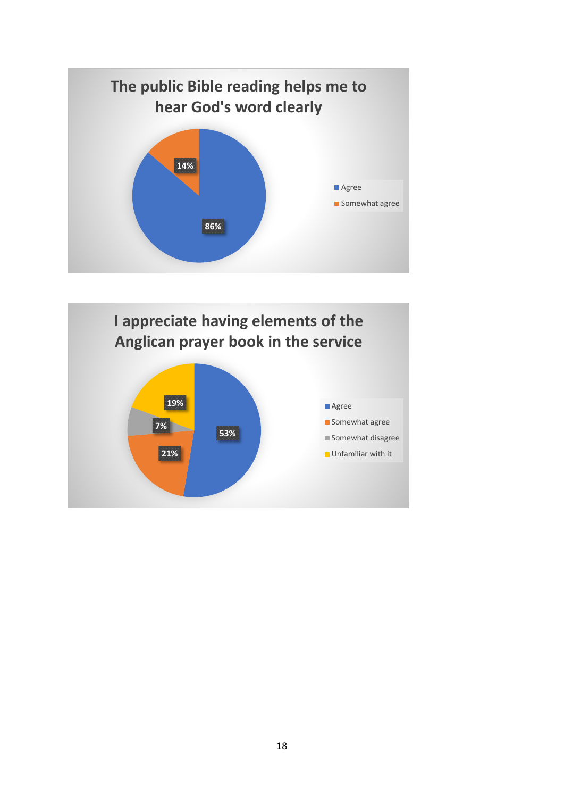

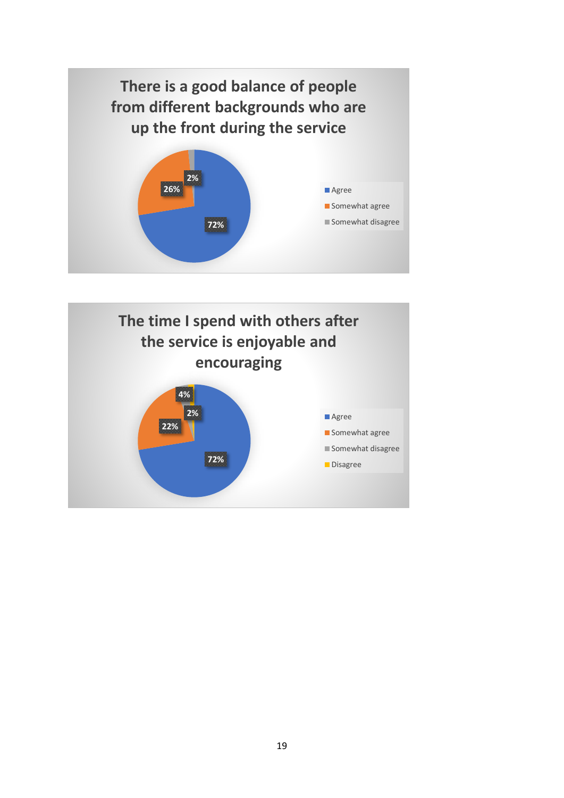

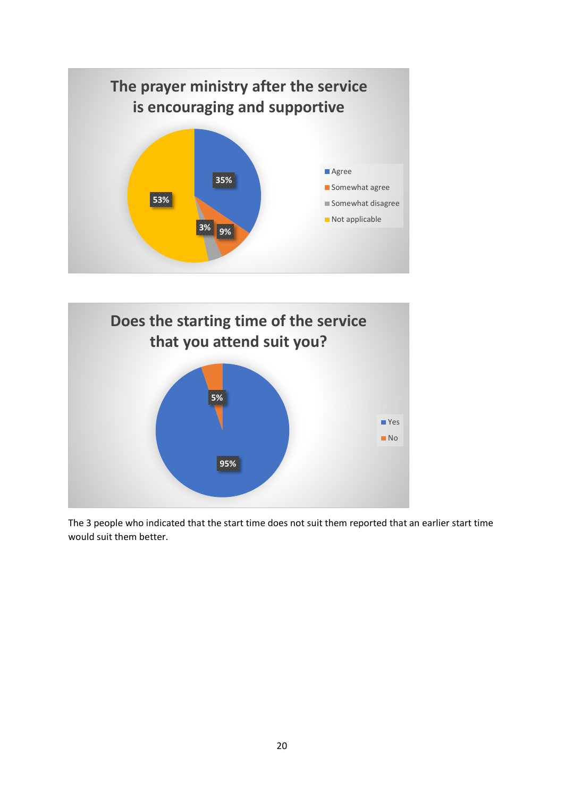



The 3 people who indicated that the start time does not suit them reported that an earlier start time would suit them better.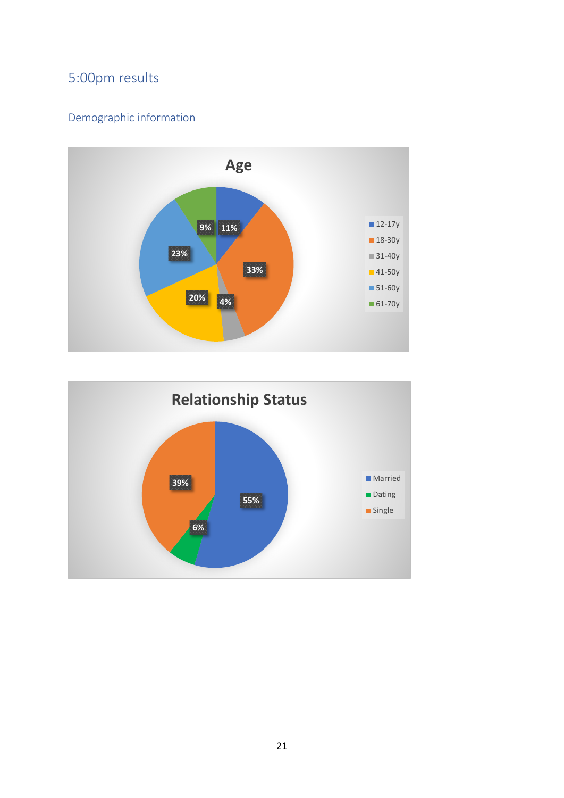# <span id="page-20-0"></span>5:00pm results

# <span id="page-20-1"></span>Demographic information



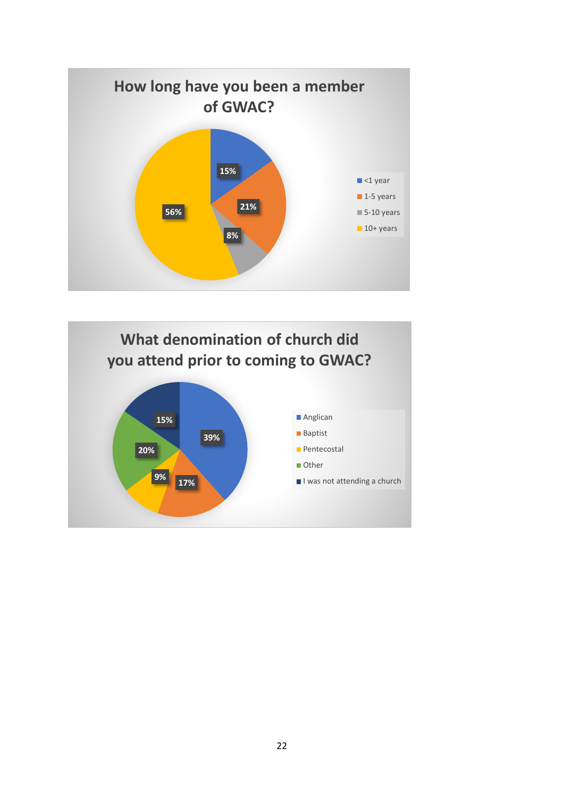

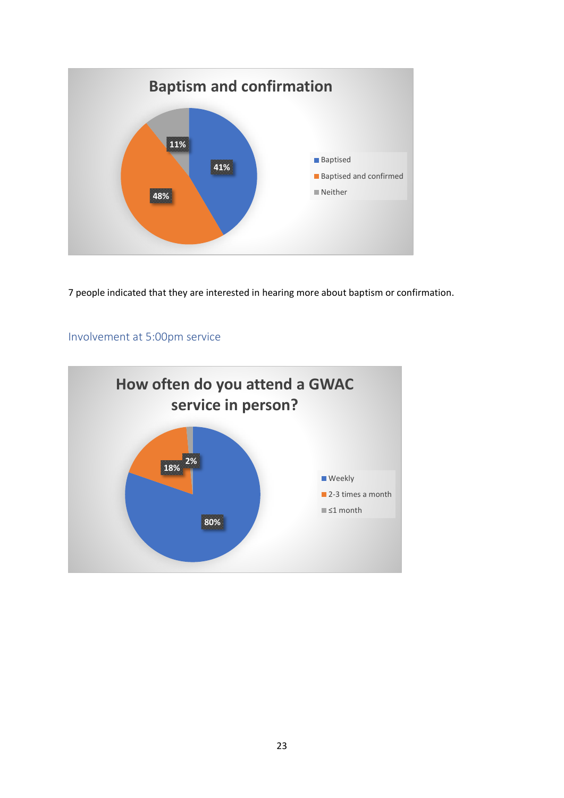

7 people indicated that they are interested in hearing more about baptism or confirmation.

## <span id="page-22-0"></span>Involvement at 5:00pm service

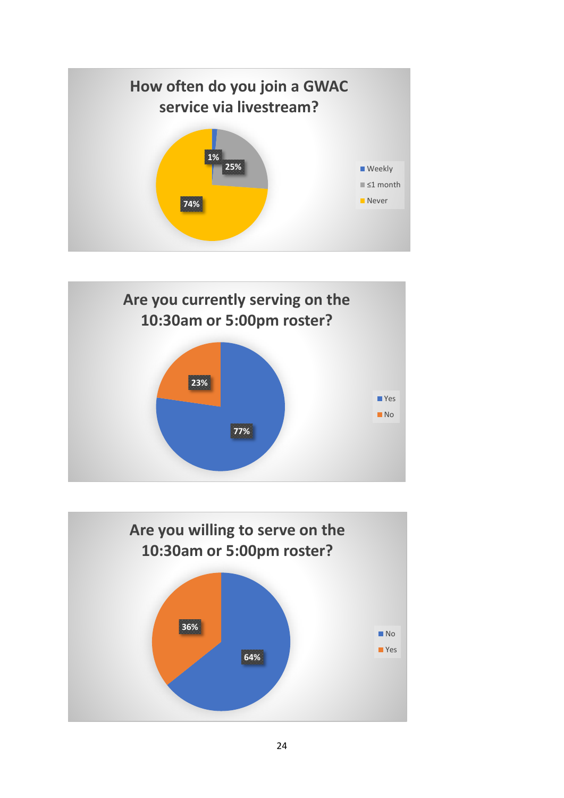



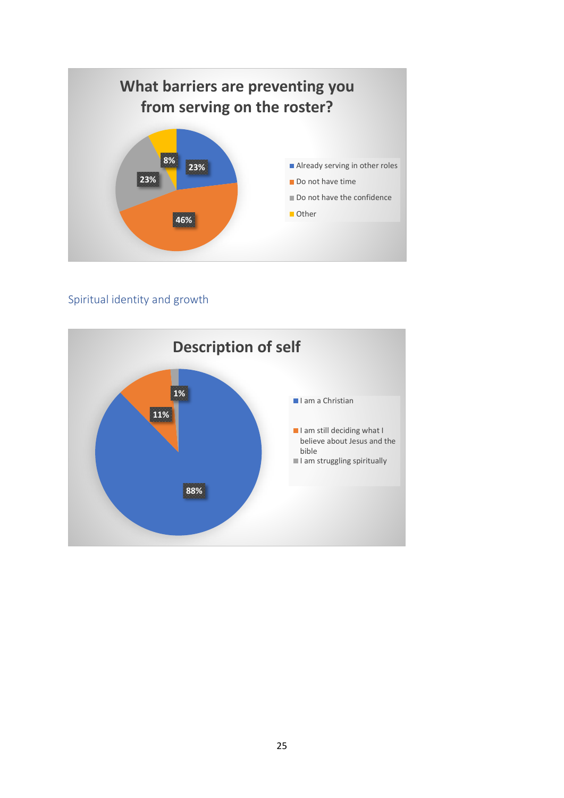

## <span id="page-24-0"></span>Spiritual identity and growth

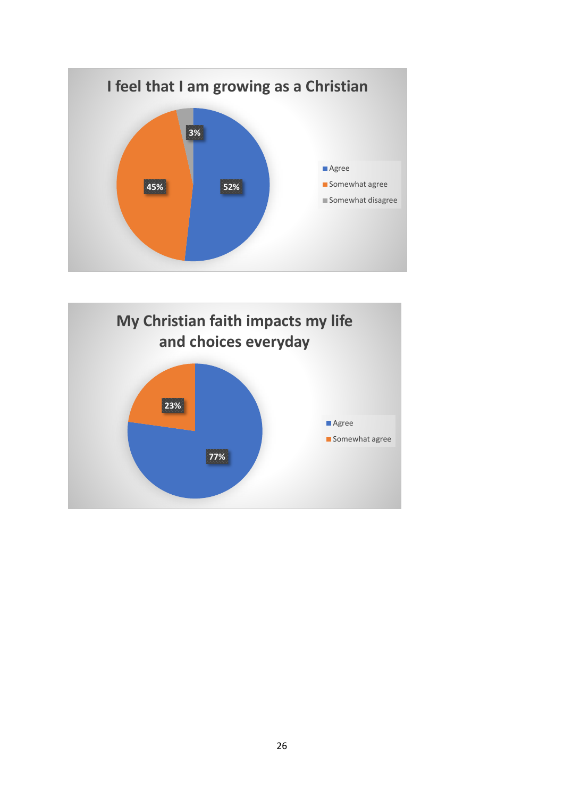

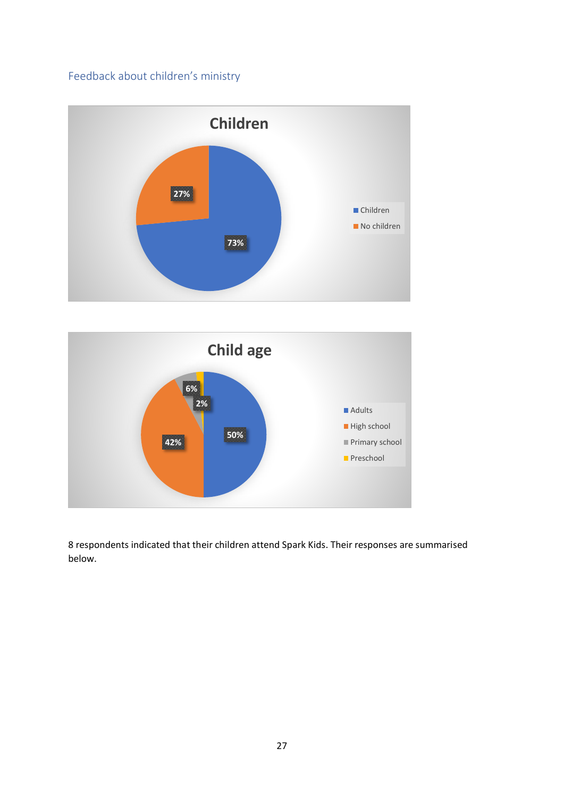## <span id="page-26-0"></span>Feedback about children's ministry





8 respondents indicated that their children attend Spark Kids. Their responses are summarised below.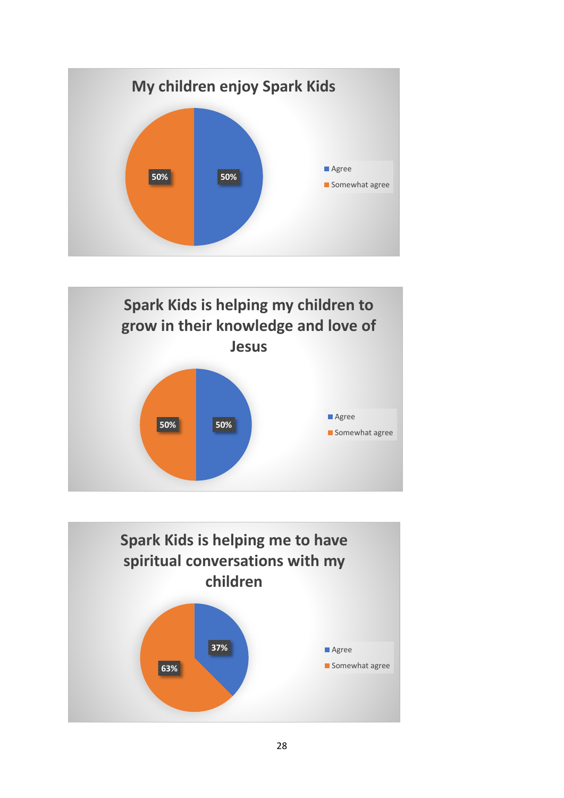



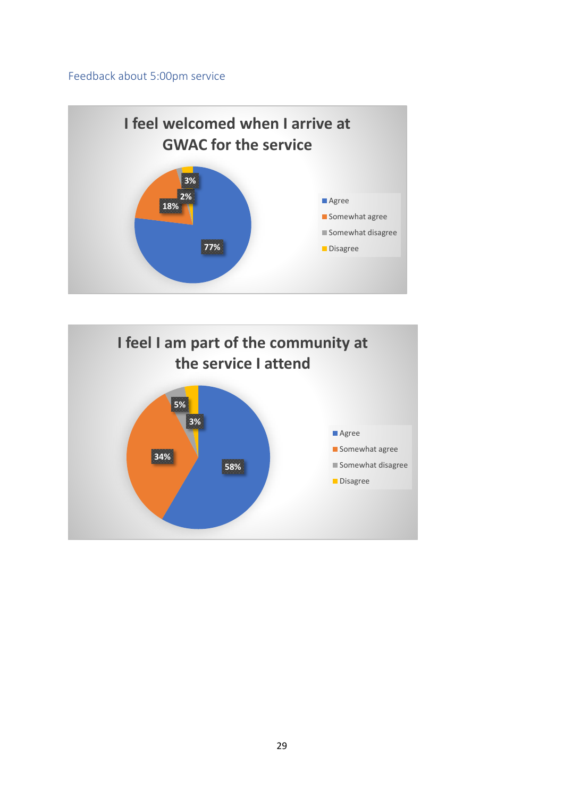### <span id="page-28-0"></span>Feedback about 5:00pm service



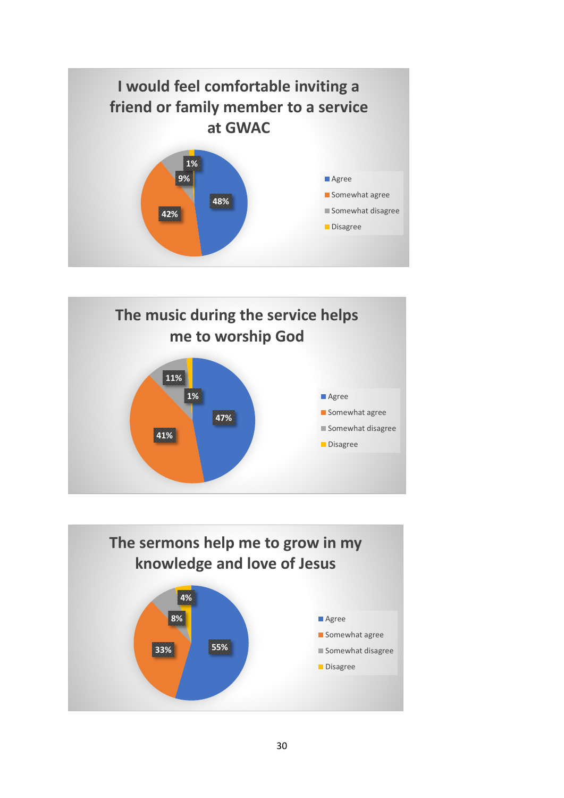



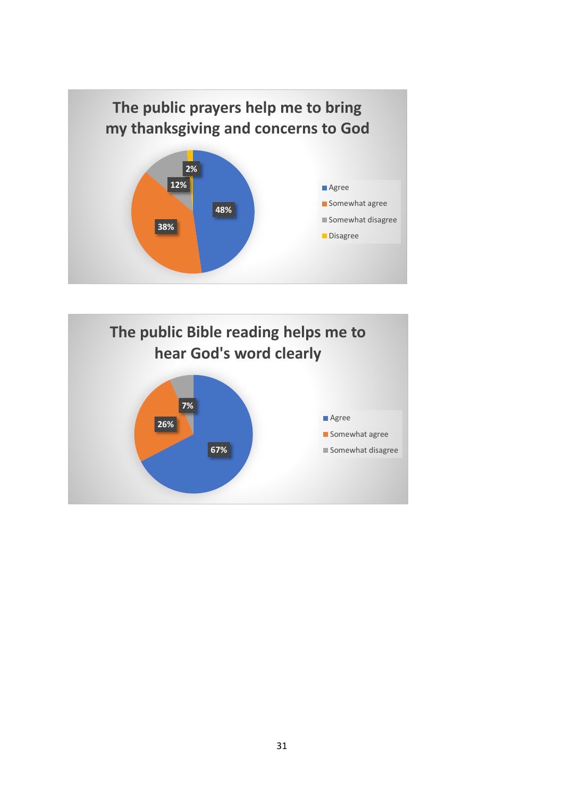

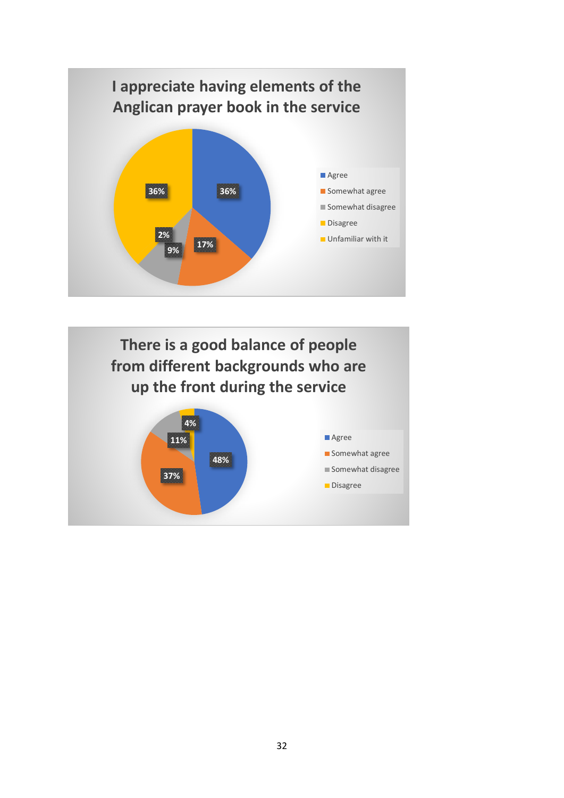

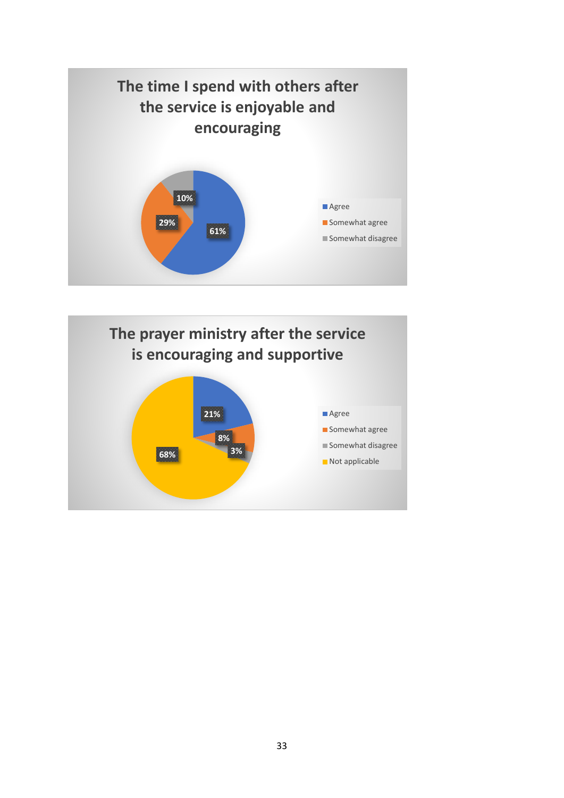